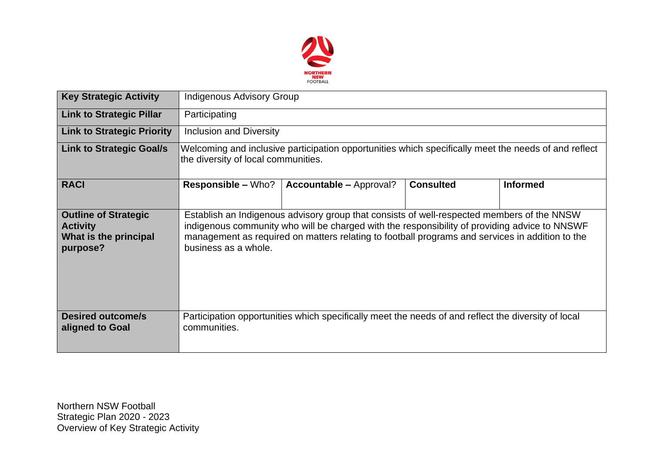

| <b>Key Strategic Activity</b>                                                       | <b>Indigenous Advisory Group</b>                                                                                                                                                                                                                                                                                       |                                                                                                     |                  |                 |  |  |  |  |
|-------------------------------------------------------------------------------------|------------------------------------------------------------------------------------------------------------------------------------------------------------------------------------------------------------------------------------------------------------------------------------------------------------------------|-----------------------------------------------------------------------------------------------------|------------------|-----------------|--|--|--|--|
| <b>Link to Strategic Pillar</b>                                                     | Participating                                                                                                                                                                                                                                                                                                          |                                                                                                     |                  |                 |  |  |  |  |
| <b>Link to Strategic Priority</b>                                                   | <b>Inclusion and Diversity</b>                                                                                                                                                                                                                                                                                         |                                                                                                     |                  |                 |  |  |  |  |
| <b>Link to Strategic Goal/s</b>                                                     | Welcoming and inclusive participation opportunities which specifically meet the needs of and reflect<br>the diversity of local communities.                                                                                                                                                                            |                                                                                                     |                  |                 |  |  |  |  |
| <b>RACI</b>                                                                         | <b>Responsible – Who?</b>                                                                                                                                                                                                                                                                                              | <b>Accountable – Approval?</b>                                                                      | <b>Consulted</b> | <b>Informed</b> |  |  |  |  |
| <b>Outline of Strategic</b><br><b>Activity</b><br>What is the principal<br>purpose? | Establish an Indigenous advisory group that consists of well-respected members of the NNSW<br>indigenous community who will be charged with the responsibility of providing advice to NNSWF<br>management as required on matters relating to football programs and services in addition to the<br>business as a whole. |                                                                                                     |                  |                 |  |  |  |  |
| <b>Desired outcome/s</b><br>aligned to Goal                                         | communities.                                                                                                                                                                                                                                                                                                           | Participation opportunities which specifically meet the needs of and reflect the diversity of local |                  |                 |  |  |  |  |